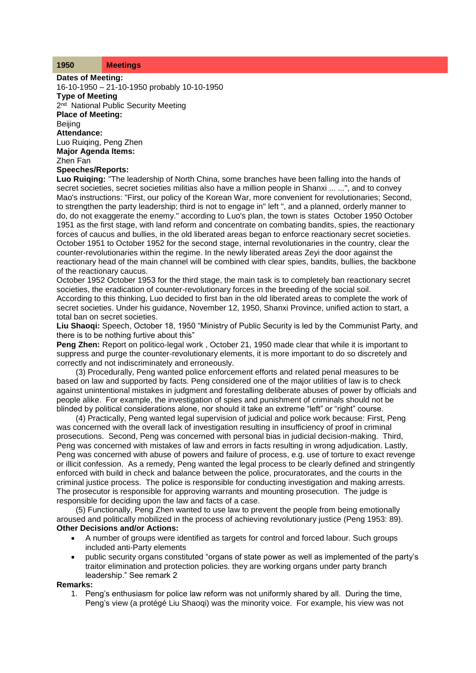## **1950 Meetings**

**Dates of Meeting:** 16-10-1950 – 21-10-1950 probably 10-10-1950 **Type of Meeting** 2<sup>nd</sup> National Public Security Meeting **Place of Meeting: Beijing Attendance:** Luo Ruiqing, Peng Zhen **Major Agenda Items:** Zhen Fan

**Speeches/Reports:**

**Luo Ruiqing:** "The leadership of North China, some branches have been falling into the hands of secret societies, secret societies militias also have a million people in Shanxi ... ...", and to convey Mao's instructions: "First, our policy of the Korean War, more convenient for revolutionaries; Second, to strengthen the party leadership; third is not to engage in" left ", and a planned, orderly manner to do, do not exaggerate the enemy." according to Luo's plan, the town is states October 1950 October 1951 as the first stage, with land reform and concentrate on combating bandits, spies, the reactionary forces of caucus and bullies, in the old liberated areas began to enforce reactionary secret societies. October 1951 to October 1952 for the second stage, internal revolutionaries in the country, clear the counter-revolutionaries within the regime. In the newly liberated areas Zeyi the door against the reactionary head of the main channel will be combined with clear spies, bandits, bullies, the backbone of the reactionary caucus.

October 1952 October 1953 for the third stage, the main task is to completely ban reactionary secret societies, the eradication of counter-revolutionary forces in the breeding of the social soil. According to this thinking, Luo decided to first ban in the old liberated areas to complete the work of secret societies. Under his guidance, November 12, 1950, Shanxi Province, unified action to start, a total ban on secret societies.

**Liu Shaoqi:** Speech, October 18, 1950 "Ministry of Public Security is led by the Communist Party, and there is to be nothing furtive about this"

**Peng Zhen:** Report on politico-legal work , October 21, 1950 made clear that while it is important to suppress and purge the counter-revolutionary elements, it is more important to do so discretely and correctly and not indiscriminately and erroneously.

(3) Procedurally, Peng wanted police enforcement efforts and related penal measures to be based on law and supported by facts. Peng considered one of the major utilities of law is to check against unintentional mistakes in judgment and forestalling deliberate abuses of power by officials and people alike. For example, the investigation of spies and punishment of criminals should not be blinded by political considerations alone, nor should it take an extreme "left" or "right" course.

(4) Practically, Peng wanted legal supervision of judicial and police work because: First, Peng was concerned with the overall lack of investigation resulting in insufficiency of proof in criminal prosecutions. Second, Peng was concerned with personal bias in judicial decision-making. Third, Peng was concerned with mistakes of law and errors in facts resulting in wrong adjudication. Lastly, Peng was concerned with abuse of powers and failure of process, e.g. use of torture to exact revenge or illicit confession. As a remedy, Peng wanted the legal process to be clearly defined and stringently enforced with build in check and balance between the police, procuratorates, and the courts in the criminal justice process. The police is responsible for conducting investigation and making arrests. The prosecutor is responsible for approving warrants and mounting prosecution. The judge is responsible for deciding upon the law and facts of a case.

(5) Functionally, Peng Zhen wanted to use law to prevent the people from being emotionally aroused and politically mobilized in the process of achieving revolutionary justice (Peng 1953: 89). **Other Decisions and/or Actions:**

- A number of groups were identified as targets for control and forced labour. Such groups included anti-Party elements
- public security organs constituted "organs of state power as well as implemented of the party's traitor elimination and protection policies. they are working organs under party branch leadership." See remark 2

## **Remarks:**

1. Peng's enthusiasm for police law reform was not uniformly shared by all. During the time, Peng's view (a protégé Liu Shaoqi) was the minority voice. For example, his view was not